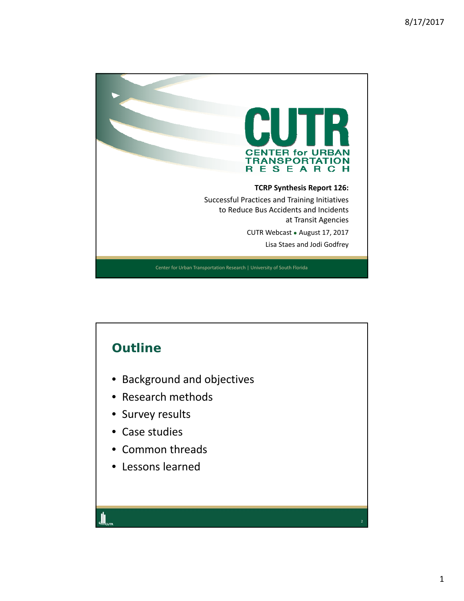

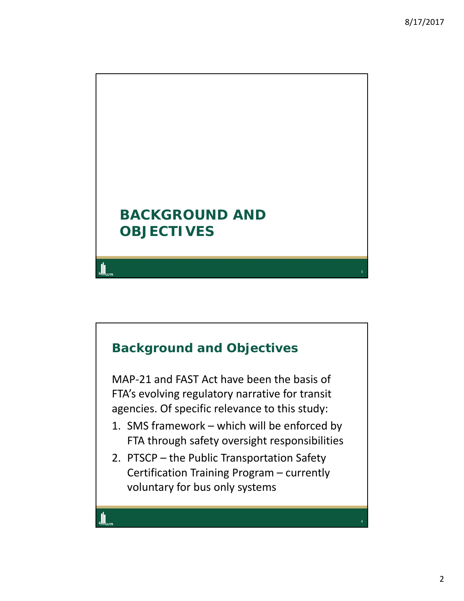

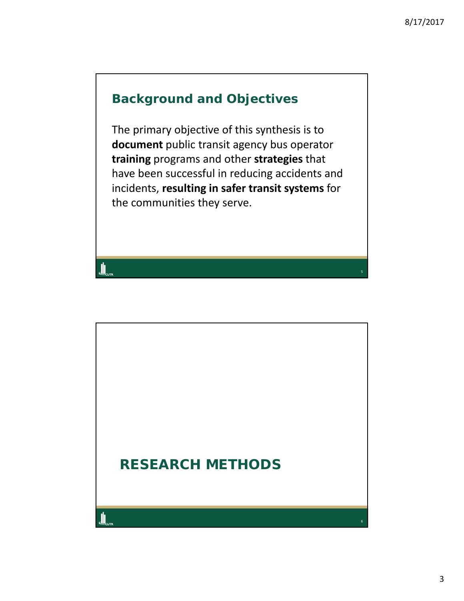## **Background and Objectives**

The primary objective of this synthesis is to **document** public transit agency bus operator **training** programs and other **strategies** that have been successful in reducing accidents and incidents, **resulting in safer transit systems** for the communities they serve.

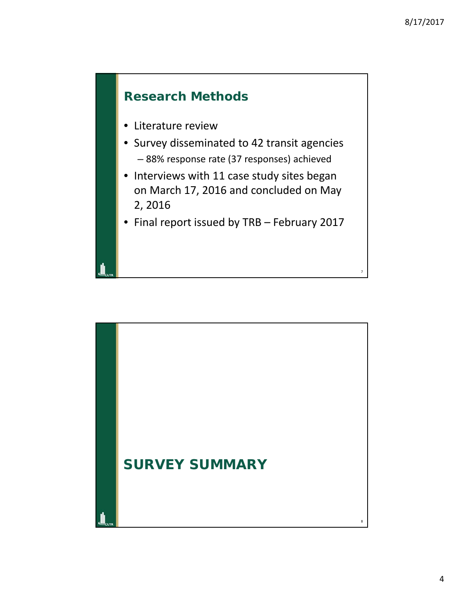## **Research Methods**

- Literature review
- Survey disseminated to 42 transit agencies – 88% response rate (37 responses) achieved
- Interviews with 11 case study sites began on March 17, 2016 and concluded on May 2, 2016
- Final report issued by TRB February 2017

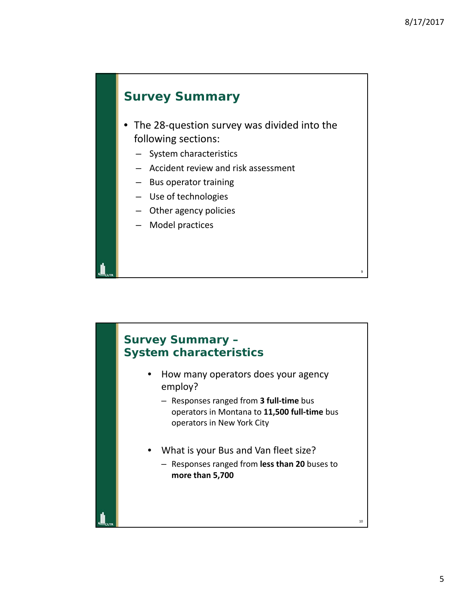#### **Survey Summary**

- The 28‐question survey was divided into the following sections:
	- System characteristics
	- Accident review and risk assessment
	- Bus operator training
	- Use of technologies
	- Other agency policies
	- Model practices

# 10 **Survey Summary – System characteristics** • How many operators does your agency employ? – Responses ranged from **3 full‐time** bus operators in Montana to **11,500 full‐time** bus operators in New York City • What is your Bus and Van fleet size? – Responses ranged from **less than 20** buses to **more than 5,700**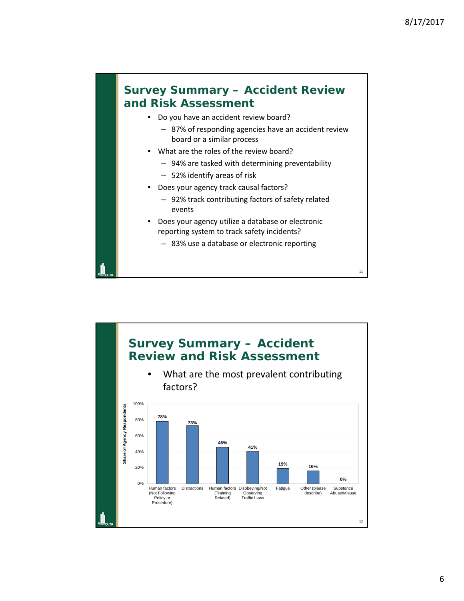#### **Survey Summary – Accident Review and Risk Assessment**

- Do you have an accident review board?
	- 87% of responding agencies have an accident review board or a similar process
- What are the roles of the review board?
	- 94% are tasked with determining preventability
	- 52% identify areas of risk
- Does your agency track causal factors?
	- 92% track contributing factors of safety related events
- Does your agency utilize a database or electronic reporting system to track safety incidents?
	- 83% use a database or electronic reporting

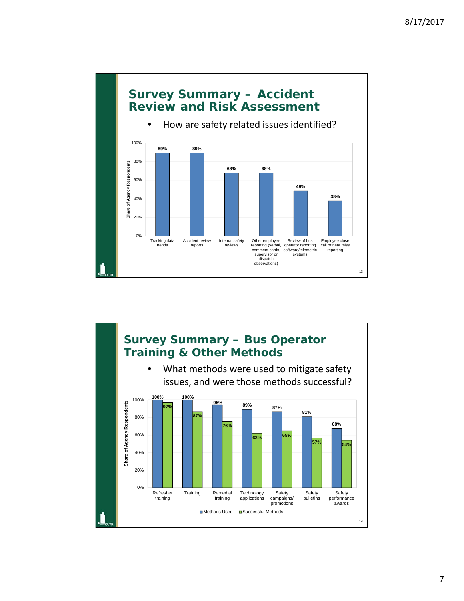

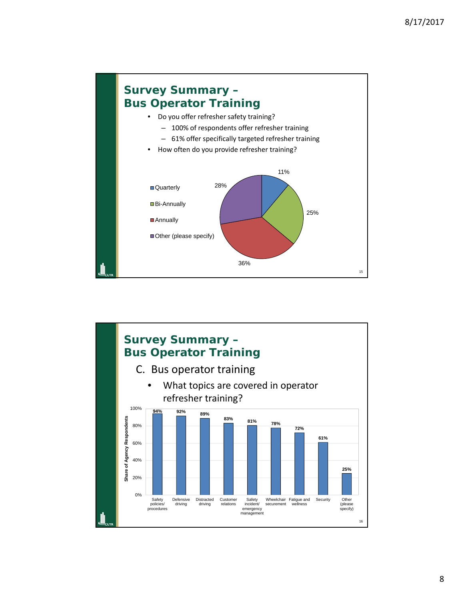

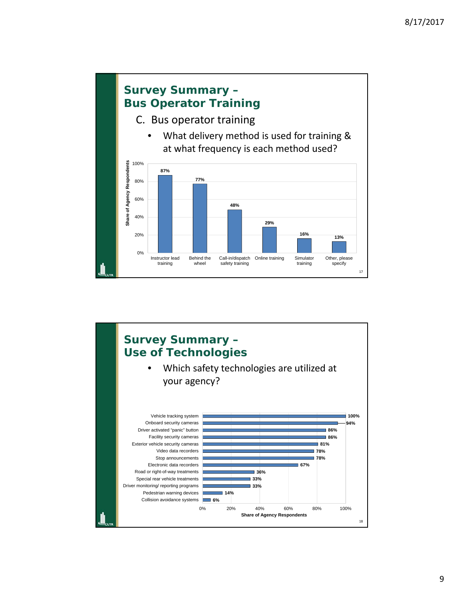

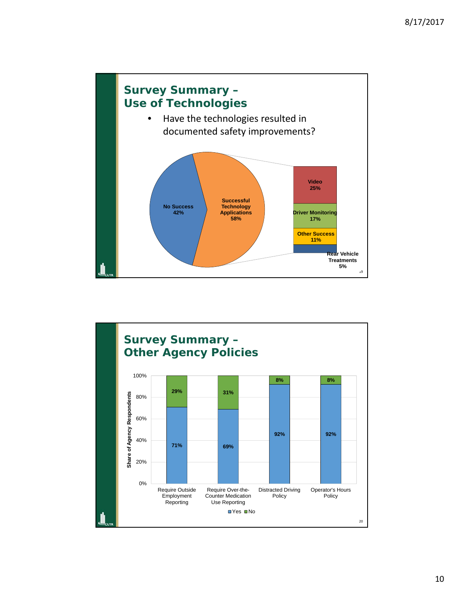

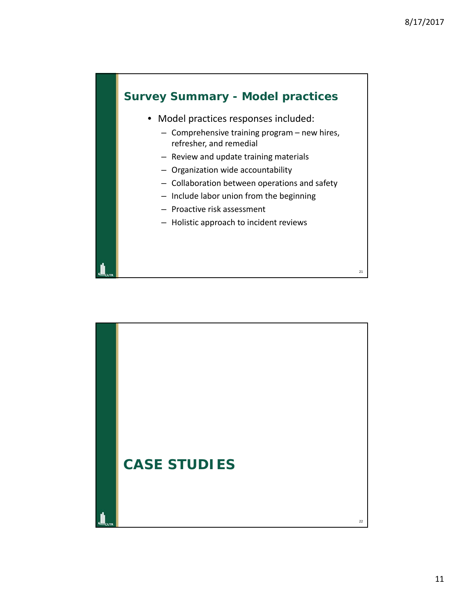#### **Survey Summary - Model practices**

- Model practices responses included:
	- Comprehensive training program new hires, refresher, and remedial
	- Review and update training materials
	- Organization wide accountability
	- Collaboration between operations and safety
	- Include labor union from the beginning
	- Proactive risk assessment
	- Holistic approach to incident reviews

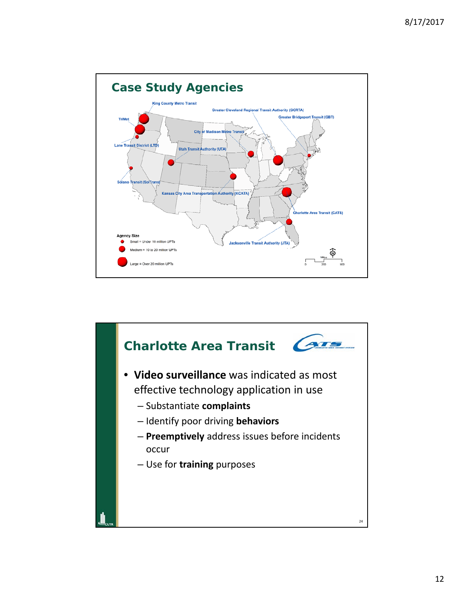

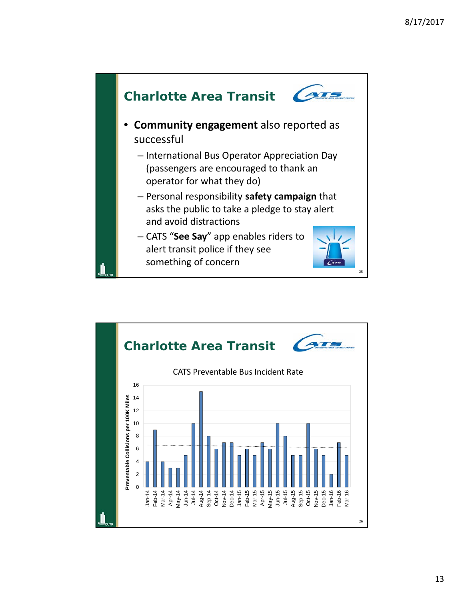

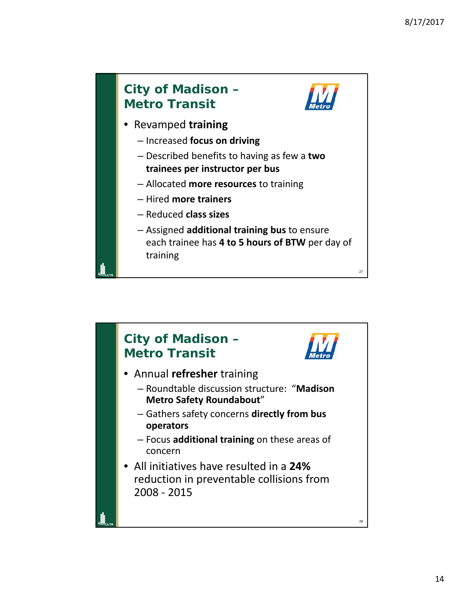

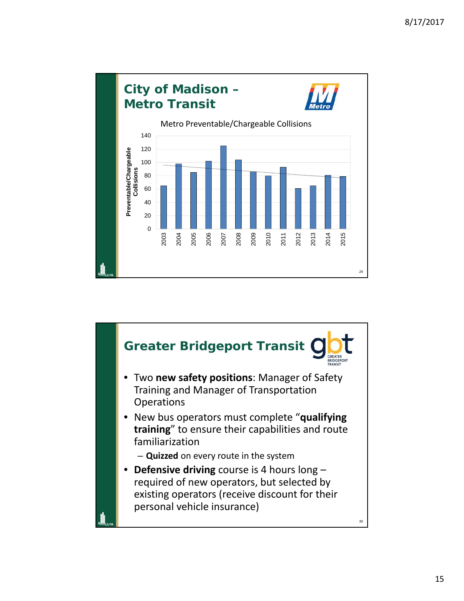

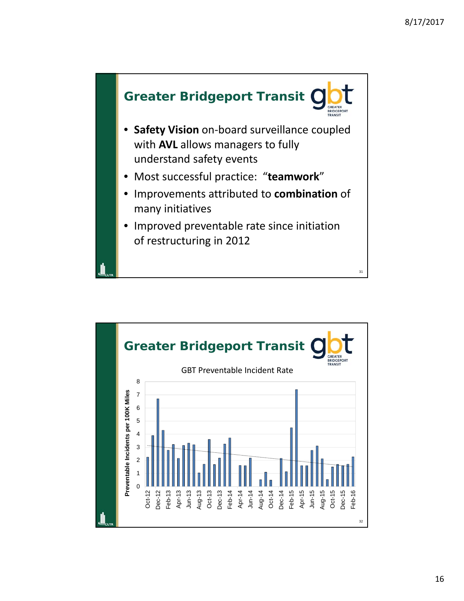

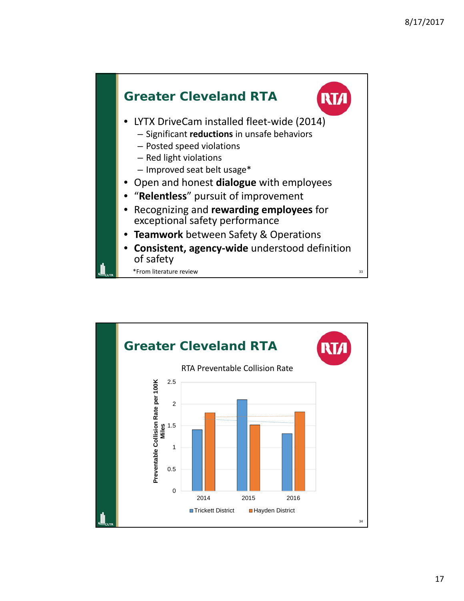

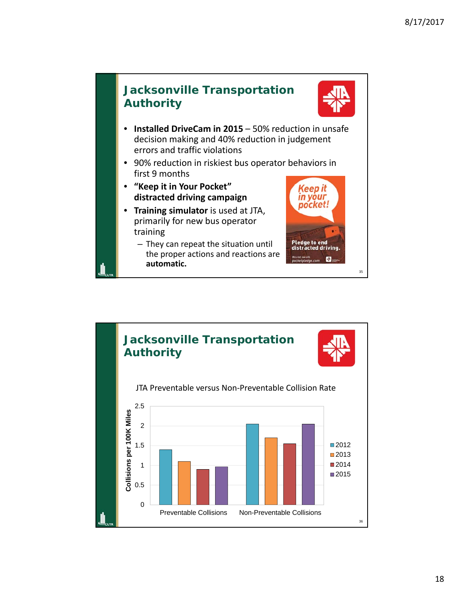

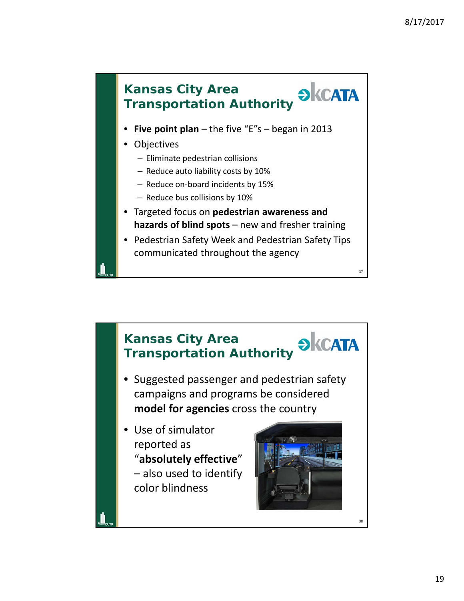

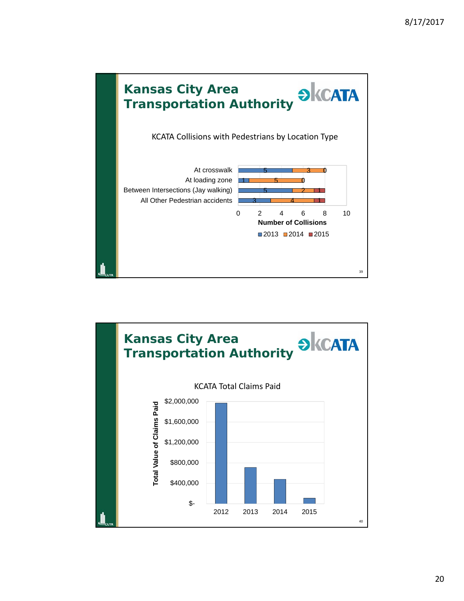

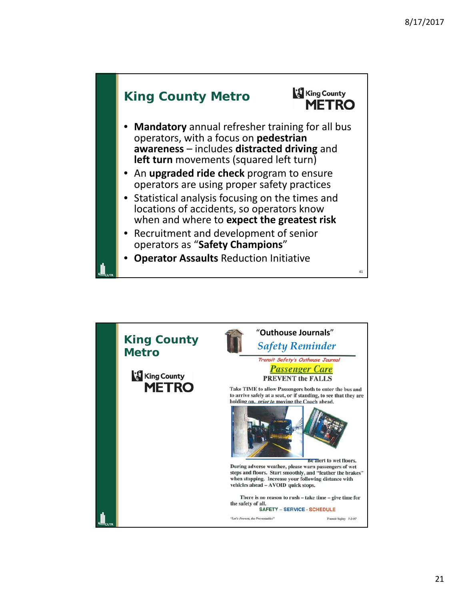

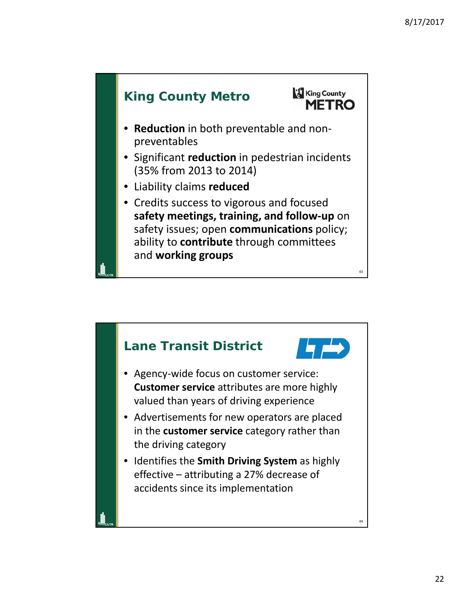

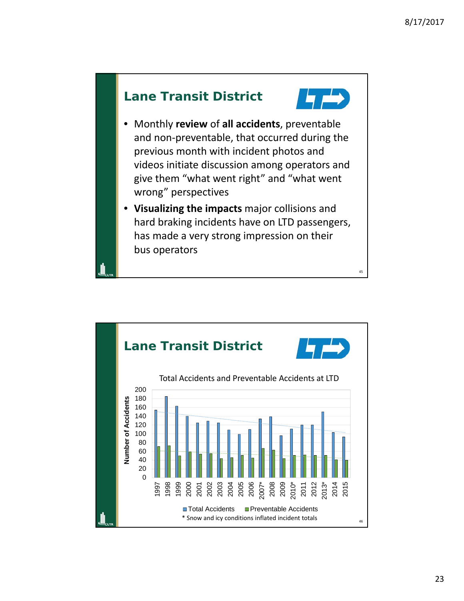



- Monthly **review** of **all accidents**, preventable and non‐preventable, that occurred during the previous month with incident photos and videos initiate discussion among operators and give them "what went right" and "what went wrong" perspectives
- **Visualizing the impacts** major collisions and hard braking incidents have on LTD passengers, has made a very strong impression on their bus operators

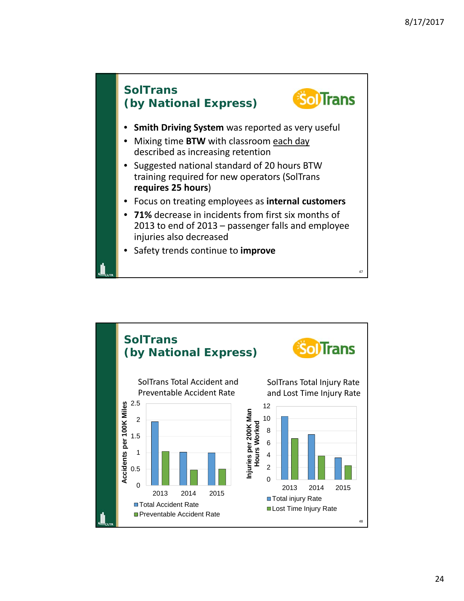

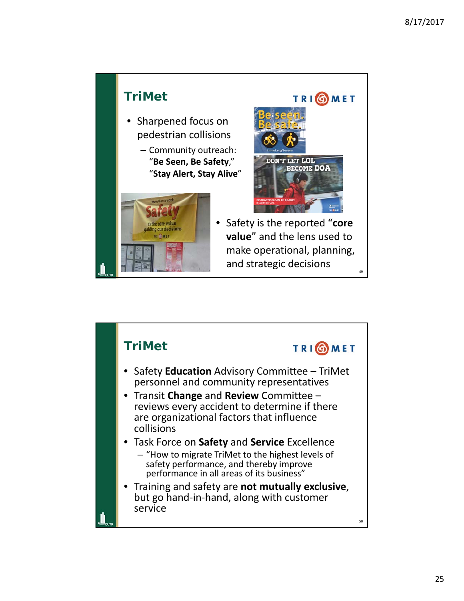

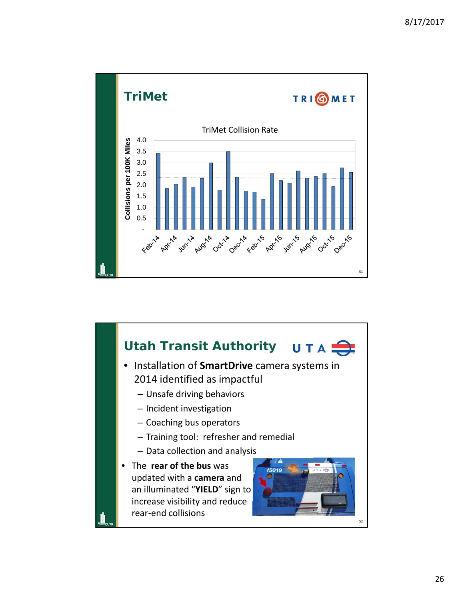

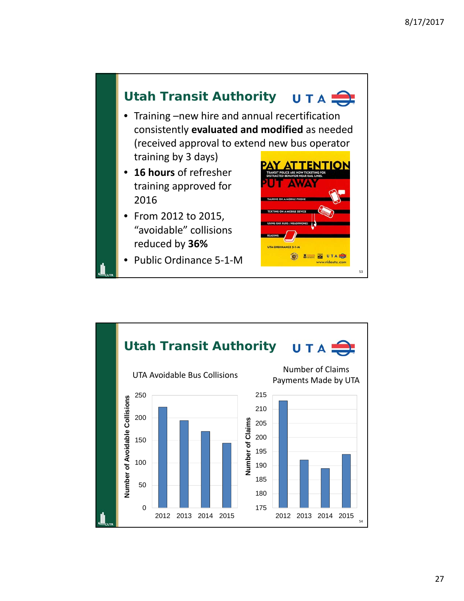

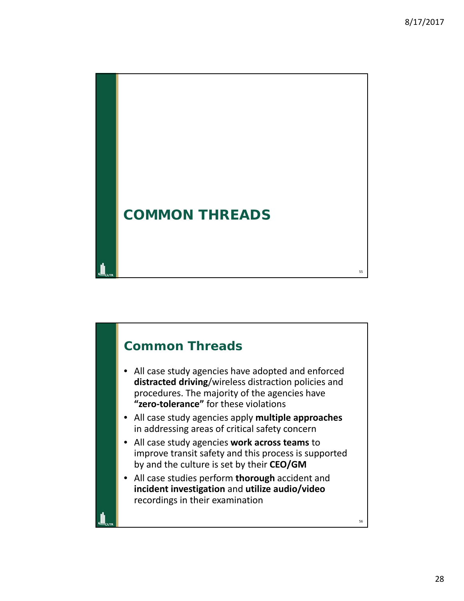

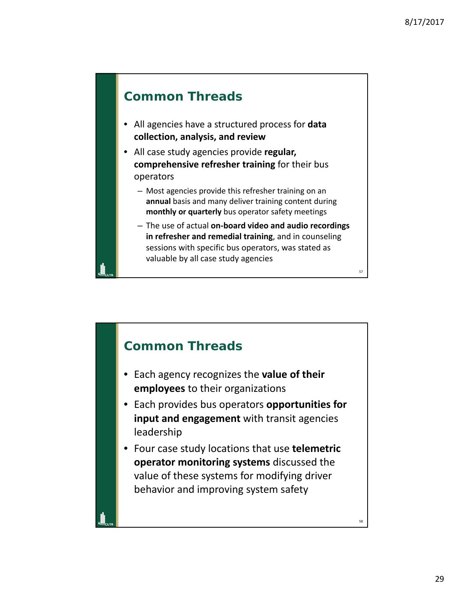58

#### **Common Threads**

- All agencies have a structured process for **data collection, analysis, and review**
- All case study agencies provide **regular, comprehensive refresher training** for their bus operators
	- Most agencies provide this refresher training on an **annual** basis and many deliver training content during **monthly or quarterly** bus operator safety meetings
	- The use of actual **on‐board video and audio recordings in refresher and remedial training**, and in counseling sessions with specific bus operators, was stated as valuable by all case study agencies

#### **Common Threads**

- Each agency recognizes the **value of their employees** to their organizations
- Each provides bus operators **opportunities for input and engagement** with transit agencies leadership
- Four case study locations that use **telemetric operator monitoring systems** discussed the value of these systems for modifying driver behavior and improving system safety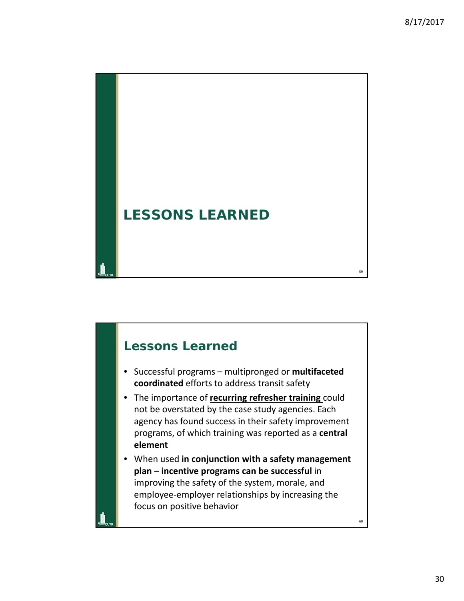

# 60 **Lessons Learned** • Successful programs – multipronged or **multifaceted coordinated** efforts to address transit safety • The importance of **recurring refresher training** could not be overstated by the case study agencies. Each agency has found success in their safety improvement programs, of which training was reported as a **central element** • When used **in conjunction with a safety management plan – incentive programs can be successful** in improving the safety of the system, morale, and employee‐employer relationships by increasing the focus on positive behavior